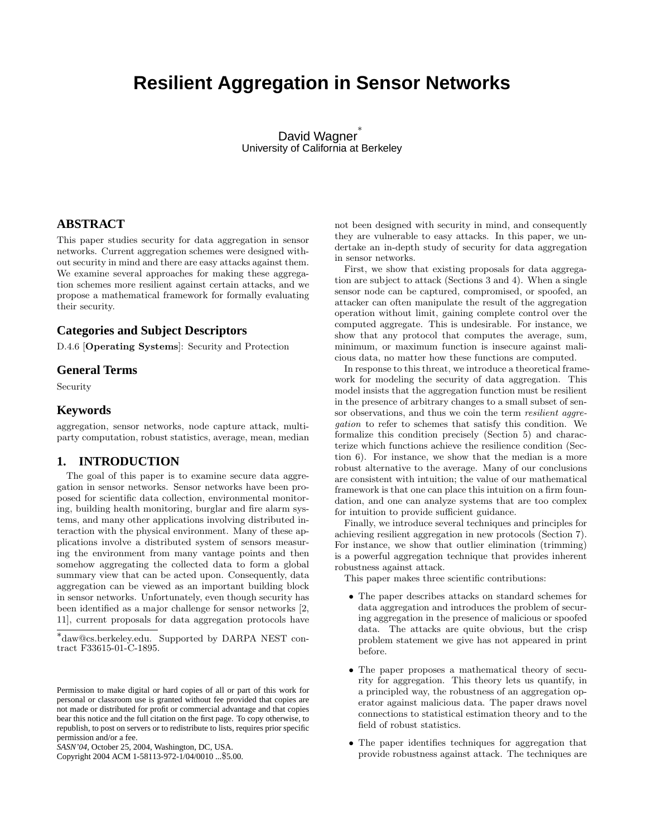# **Resilient Aggregation in Sensor Networks**

David Wagner<sup>\*</sup> University of California at Berkeley

# **ABSTRACT**

This paper studies security for data aggregation in sensor networks. Current aggregation schemes were designed without security in mind and there are easy attacks against them. We examine several approaches for making these aggregation schemes more resilient against certain attacks, and we propose a mathematical framework for formally evaluating their security.

### **Categories and Subject Descriptors**

D.4.6 [Operating Systems]: Security and Protection

### **General Terms**

Security

### **Keywords**

aggregation, sensor networks, node capture attack, multiparty computation, robust statistics, average, mean, median

## **1. INTRODUCTION**

The goal of this paper is to examine secure data aggregation in sensor networks. Sensor networks have been proposed for scientific data collection, environmental monitoring, building health monitoring, burglar and fire alarm systems, and many other applications involving distributed interaction with the physical environment. Many of these applications involve a distributed system of sensors measuring the environment from many vantage points and then somehow aggregating the collected data to form a global summary view that can be acted upon. Consequently, data aggregation can be viewed as an important building block in sensor networks. Unfortunately, even though security has been identified as a major challenge for sensor networks [2, 11], current proposals for data aggregation protocols have

Copyright 2004 ACM 1-58113-972-1/04/0010 ...\$5.00.

not been designed with security in mind, and consequently they are vulnerable to easy attacks. In this paper, we undertake an in-depth study of security for data aggregation in sensor networks.

First, we show that existing proposals for data aggregation are subject to attack (Sections 3 and 4). When a single sensor node can be captured, compromised, or spoofed, an attacker can often manipulate the result of the aggregation operation without limit, gaining complete control over the computed aggregate. This is undesirable. For instance, we show that any protocol that computes the average, sum, minimum, or maximum function is insecure against malicious data, no matter how these functions are computed.

In response to this threat, we introduce a theoretical framework for modeling the security of data aggregation. This model insists that the aggregation function must be resilient in the presence of arbitrary changes to a small subset of sensor observations, and thus we coin the term *resilient aggre*gation to refer to schemes that satisfy this condition. We formalize this condition precisely (Section 5) and characterize which functions achieve the resilience condition (Section 6). For instance, we show that the median is a more robust alternative to the average. Many of our conclusions are consistent with intuition; the value of our mathematical framework is that one can place this intuition on a firm foundation, and one can analyze systems that are too complex for intuition to provide sufficient guidance.

Finally, we introduce several techniques and principles for achieving resilient aggregation in new protocols (Section 7). For instance, we show that outlier elimination (trimming) is a powerful aggregation technique that provides inherent robustness against attack.

This paper makes three scientific contributions:

- The paper describes attacks on standard schemes for data aggregation and introduces the problem of securing aggregation in the presence of malicious or spoofed data. The attacks are quite obvious, but the crisp problem statement we give has not appeared in print before.
- The paper proposes a mathematical theory of security for aggregation. This theory lets us quantify, in a principled way, the robustness of an aggregation operator against malicious data. The paper draws novel connections to statistical estimation theory and to the field of robust statistics.
- The paper identifies techniques for aggregation that provide robustness against attack. The techniques are

<sup>∗</sup> daw@cs.berkeley.edu. Supported by DARPA NEST contract F33615-01-C-1895.

Permission to make digital or hard copies of all or part of this work for personal or classroom use is granted without fee provided that copies are not made or distributed for profit or commercial advantage and that copies bear this notice and the full citation on the first page. To copy otherwise, to republish, to post on servers or to redistribute to lists, requires prior specific permission and/or a fee.

*SASN'04,* October 25, 2004, Washington, DC, USA.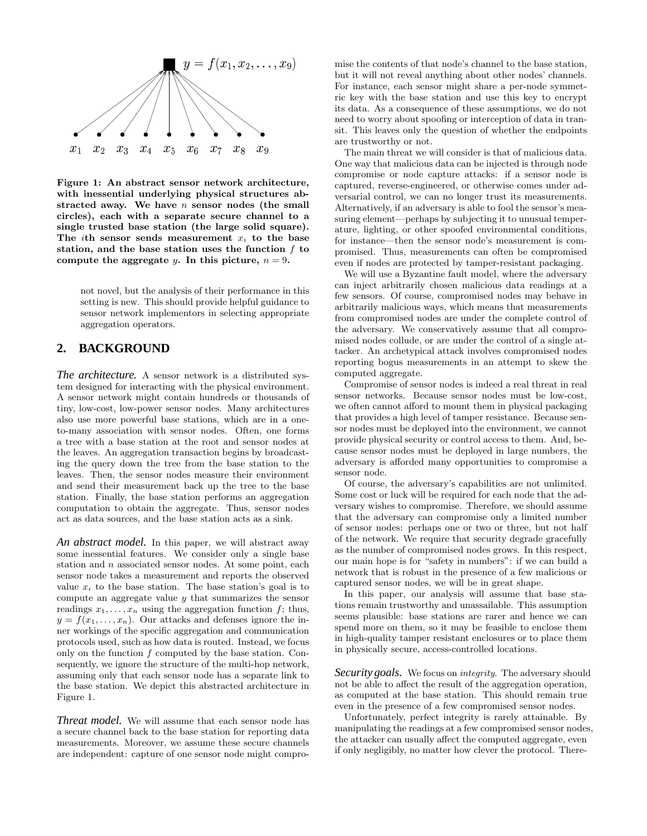

Figure 1: An abstract sensor network architecture, with inessential underlying physical structures abstracted away. We have  $n$  sensor nodes (the small circles), each with a separate secure channel to a single trusted base station (the large solid square). The *i*th sensor sends measurement  $x_i$  to the base station, and the base station uses the function  $f$  to compute the aggregate y. In this picture,  $n = 9$ .

not novel, but the analysis of their performance in this setting is new. This should provide helpful guidance to sensor network implementors in selecting appropriate aggregation operators.

## **2. BACKGROUND**

*The architecture.* A sensor network is a distributed system designed for interacting with the physical environment. A sensor network might contain hundreds or thousands of tiny, low-cost, low-power sensor nodes. Many architectures also use more powerful base stations, which are in a oneto-many association with sensor nodes. Often, one forms a tree with a base station at the root and sensor nodes at the leaves. An aggregation transaction begins by broadcasting the query down the tree from the base station to the leaves. Then, the sensor nodes measure their environment and send their measurement back up the tree to the base station. Finally, the base station performs an aggregation computation to obtain the aggregate. Thus, sensor nodes act as data sources, and the base station acts as a sink.

*An abstract model.* In this paper, we will abstract away some inessential features. We consider only a single base station and n associated sensor nodes. At some point, each sensor node takes a measurement and reports the observed value  $x_i$  to the base station. The base station's goal is to compute an aggregate value  $y$  that summarizes the sensor readings  $x_1, \ldots, x_n$  using the aggregation function f; thus,  $y = f(x_1, \ldots, x_n)$ . Our attacks and defenses ignore the inner workings of the specific aggregation and communication protocols used, such as how data is routed. Instead, we focus only on the function  $f$  computed by the base station. Consequently, we ignore the structure of the multi-hop network, assuming only that each sensor node has a separate link to the base station. We depict this abstracted architecture in Figure 1.

*Threat model.* We will assume that each sensor node has a secure channel back to the base station for reporting data measurements. Moreover, we assume these secure channels are independent: capture of one sensor node might compromise the contents of that node's channel to the base station, but it will not reveal anything about other nodes' channels. For instance, each sensor might share a per-node symmetric key with the base station and use this key to encrypt its data. As a consequence of these assumptions, we do not need to worry about spoofing or interception of data in transit. This leaves only the question of whether the endpoints are trustworthy or not.

The main threat we will consider is that of malicious data. One way that malicious data can be injected is through node compromise or node capture attacks: if a sensor node is captured, reverse-engineered, or otherwise comes under adversarial control, we can no longer trust its measurements. Alternatively, if an adversary is able to fool the sensor's measuring element—perhaps by subjecting it to unusual temperature, lighting, or other spoofed environmental conditions, for instance—then the sensor node's measurement is compromised. Thus, measurements can often be compromised even if nodes are protected by tamper-resistant packaging.

We will use a Byzantine fault model, where the adversary can inject arbitrarily chosen malicious data readings at a few sensors. Of course, compromised nodes may behave in arbitrarily malicious ways, which means that measurements from compromised nodes are under the complete control of the adversary. We conservatively assume that all compromised nodes collude, or are under the control of a single attacker. An archetypical attack involves compromised nodes reporting bogus measurements in an attempt to skew the computed aggregate.

Compromise of sensor nodes is indeed a real threat in real sensor networks. Because sensor nodes must be low-cost, we often cannot afford to mount them in physical packaging that provides a high level of tamper resistance. Because sensor nodes must be deployed into the environment, we cannot provide physical security or control access to them. And, because sensor nodes must be deployed in large numbers, the adversary is afforded many opportunities to compromise a sensor node.

Of course, the adversary's capabilities are not unlimited. Some cost or luck will be required for each node that the adversary wishes to compromise. Therefore, we should assume that the adversary can compromise only a limited number of sensor nodes: perhaps one or two or three, but not half of the network. We require that security degrade gracefully as the number of compromised nodes grows. In this respect, our main hope is for "safety in numbers": if we can build a network that is robust in the presence of a few malicious or captured sensor nodes, we will be in great shape.

In this paper, our analysis will assume that base stations remain trustworthy and unassailable. This assumption seems plausible: base stations are rarer and hence we can spend more on them, so it may be feasible to enclose them in high-quality tamper resistant enclosures or to place them in physically secure, access-controlled locations.

*Security goals.* We focus on integrity. The adversary should not be able to affect the result of the aggregation operation, as computed at the base station. This should remain true even in the presence of a few compromised sensor nodes.

Unfortunately, perfect integrity is rarely attainable. By manipulating the readings at a few compromised sensor nodes, the attacker can usually affect the computed aggregate, even if only negligibly, no matter how clever the protocol. There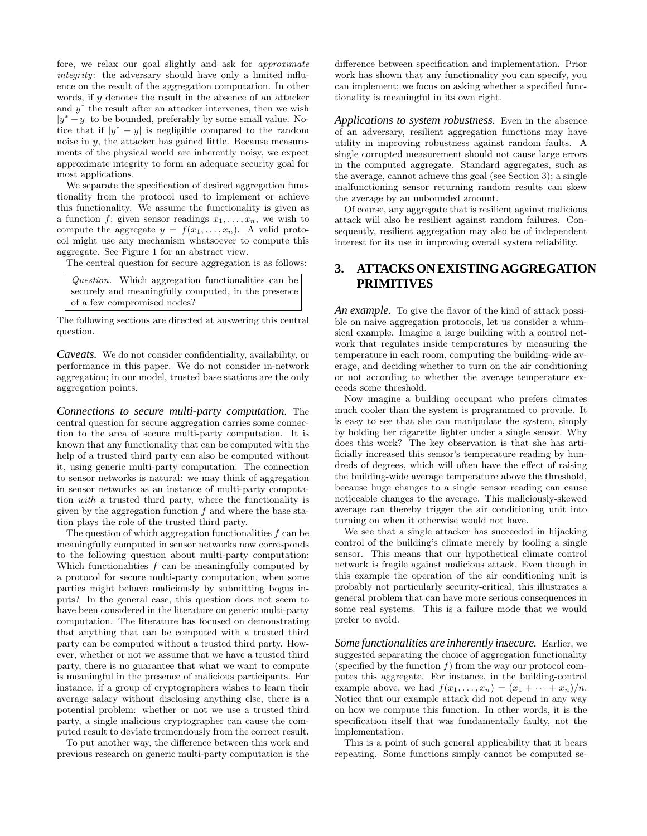fore, we relax our goal slightly and ask for approximate integrity: the adversary should have only a limited influence on the result of the aggregation computation. In other words, if y denotes the result in the absence of an attacker and  $y^*$  the result after an attacker intervenes, then we wish  $|y^* - y|$  to be bounded, preferably by some small value. Notice that if  $|y^* - y|$  is negligible compared to the random noise in y, the attacker has gained little. Because measurements of the physical world are inherently noisy, we expect approximate integrity to form an adequate security goal for most applications.

We separate the specification of desired aggregation functionality from the protocol used to implement or achieve this functionality. We assume the functionality is given as a function f; given sensor readings  $x_1, \ldots, x_n$ , we wish to compute the aggregate  $y = f(x_1, \ldots, x_n)$ . A valid protocol might use any mechanism whatsoever to compute this aggregate. See Figure 1 for an abstract view.

The central question for secure aggregation is as follows:

```
Question. Which aggregation functionalities can be
securely and meaningfully computed, in the presence
of a few compromised nodes?
```
The following sections are directed at answering this central question.

*Caveats.* We do not consider confidentiality, availability, or performance in this paper. We do not consider in-network aggregation; in our model, trusted base stations are the only aggregation points.

*Connections to secure multi-party computation.* The central question for secure aggregation carries some connection to the area of secure multi-party computation. It is known that any functionality that can be computed with the help of a trusted third party can also be computed without it, using generic multi-party computation. The connection to sensor networks is natural: we may think of aggregation in sensor networks as an instance of multi-party computation with a trusted third party, where the functionality is given by the aggregation function  $f$  and where the base station plays the role of the trusted third party.

The question of which aggregation functionalities  $f$  can be meaningfully computed in sensor networks now corresponds to the following question about multi-party computation: Which functionalities  $f$  can be meaningfully computed by a protocol for secure multi-party computation, when some parties might behave maliciously by submitting bogus inputs? In the general case, this question does not seem to have been considered in the literature on generic multi-party computation. The literature has focused on demonstrating that anything that can be computed with a trusted third party can be computed without a trusted third party. However, whether or not we assume that we have a trusted third party, there is no guarantee that what we want to compute is meaningful in the presence of malicious participants. For instance, if a group of cryptographers wishes to learn their average salary without disclosing anything else, there is a potential problem: whether or not we use a trusted third party, a single malicious cryptographer can cause the computed result to deviate tremendously from the correct result.

To put another way, the difference between this work and previous research on generic multi-party computation is the difference between specification and implementation. Prior work has shown that any functionality you can specify, you can implement; we focus on asking whether a specified functionality is meaningful in its own right.

*Applications to system robustness.* Even in the absence of an adversary, resilient aggregation functions may have utility in improving robustness against random faults. A single corrupted measurement should not cause large errors in the computed aggregate. Standard aggregates, such as the average, cannot achieve this goal (see Section 3); a single malfunctioning sensor returning random results can skew the average by an unbounded amount.

Of course, any aggregate that is resilient against malicious attack will also be resilient against random failures. Consequently, resilient aggregation may also be of independent interest for its use in improving overall system reliability.

# **3. ATTACKSON EXISTINGAGGREGATION PRIMITIVES**

*An example.* To give the flavor of the kind of attack possible on naive aggregation protocols, let us consider a whimsical example. Imagine a large building with a control network that regulates inside temperatures by measuring the temperature in each room, computing the building-wide average, and deciding whether to turn on the air conditioning or not according to whether the average temperature exceeds some threshold.

Now imagine a building occupant who prefers climates much cooler than the system is programmed to provide. It is easy to see that she can manipulate the system, simply by holding her cigarette lighter under a single sensor. Why does this work? The key observation is that she has artificially increased this sensor's temperature reading by hundreds of degrees, which will often have the effect of raising the building-wide average temperature above the threshold, because huge changes to a single sensor reading can cause noticeable changes to the average. This maliciously-skewed average can thereby trigger the air conditioning unit into turning on when it otherwise would not have.

We see that a single attacker has succeeded in hijacking control of the building's climate merely by fooling a single sensor. This means that our hypothetical climate control network is fragile against malicious attack. Even though in this example the operation of the air conditioning unit is probably not particularly security-critical, this illustrates a general problem that can have more serious consequences in some real systems. This is a failure mode that we would prefer to avoid.

*Some functionalities are inherently insecure.* Earlier, we suggested separating the choice of aggregation functionality (specified by the function  $f$ ) from the way our protocol computes this aggregate. For instance, in the building-control example above, we had  $f(x_1, \ldots, x_n) = (x_1 + \cdots + x_n)/n$ . Notice that our example attack did not depend in any way on how we compute this function. In other words, it is the specification itself that was fundamentally faulty, not the implementation.

This is a point of such general applicability that it bears repeating. Some functions simply cannot be computed se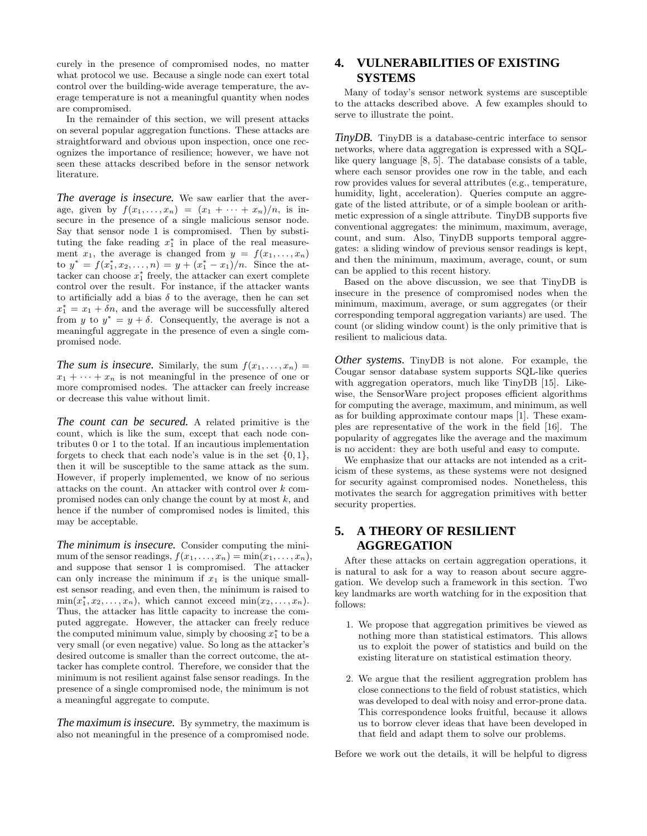curely in the presence of compromised nodes, no matter what protocol we use. Because a single node can exert total control over the building-wide average temperature, the average temperature is not a meaningful quantity when nodes are compromised.

In the remainder of this section, we will present attacks on several popular aggregation functions. These attacks are straightforward and obvious upon inspection, once one recognizes the importance of resilience; however, we have not seen these attacks described before in the sensor network literature.

*The average is insecure.* We saw earlier that the average, given by  $f(x_1, \ldots, x_n) = (x_1 + \cdots + x_n)/n$ , is insecure in the presence of a single malicious sensor node. Say that sensor node 1 is compromised. Then by substituting the fake reading  $x_1^*$  in place of the real measurement  $x_1$ , the average is changed from  $y = f(x_1, \ldots, x_n)$ to  $y^* = f(x_1^*, x_2, \ldots, n) = y + (x_1^* - x_1)/n$ . Since the attacker can choose  $x_1^*$  freely, the attacker can exert complete control over the result. For instance, if the attacker wants to artificially add a bias  $\delta$  to the average, then he can set  $x_1^* = x_1 + \delta n$ , and the average will be successfully altered from y to  $y^* = y + \delta$ . Consequently, the average is not a meaningful aggregate in the presence of even a single compromised node.

*The sum is insecure.* Similarly, the sum  $f(x_1, \ldots, x_n) =$  $x_1 + \cdots + x_n$  is not meaningful in the presence of one or more compromised nodes. The attacker can freely increase or decrease this value without limit.

*The count can be secured.* A related primitive is the count, which is like the sum, except that each node contributes 0 or 1 to the total. If an incautious implementation forgets to check that each node's value is in the set  $\{0, 1\}$ , then it will be susceptible to the same attack as the sum. However, if properly implemented, we know of no serious attacks on the count. An attacker with control over k compromised nodes can only change the count by at most k, and hence if the number of compromised nodes is limited, this may be acceptable.

*The minimum is insecure.* Consider computing the minimum of the sensor readings,  $f(x_1, \ldots, x_n) = \min(x_1, \ldots, x_n)$ , and suppose that sensor 1 is compromised. The attacker can only increase the minimum if  $x_1$  is the unique smallest sensor reading, and even then, the minimum is raised to  $\min(x_1^*, x_2, \ldots, x_n)$ , which cannot exceed  $\min(x_2, \ldots, x_n)$ . Thus, the attacker has little capacity to increase the computed aggregate. However, the attacker can freely reduce the computed minimum value, simply by choosing  $x_1^*$  to be a very small (or even negative) value. So long as the attacker's desired outcome is smaller than the correct outcome, the attacker has complete control. Therefore, we consider that the minimum is not resilient against false sensor readings. In the presence of a single compromised node, the minimum is not a meaningful aggregate to compute.

*The maximum is insecure.* By symmetry, the maximum is also not meaningful in the presence of a compromised node.

# **4. VULNERABILITIES OF EXISTING SYSTEMS**

Many of today's sensor network systems are susceptible to the attacks described above. A few examples should to serve to illustrate the point.

*TinyDB.* TinyDB is a database-centric interface to sensor networks, where data aggregation is expressed with a SQLlike query language [8, 5]. The database consists of a table, where each sensor provides one row in the table, and each row provides values for several attributes (e.g., temperature, humidity, light, acceleration). Queries compute an aggregate of the listed attribute, or of a simple boolean or arithmetic expression of a single attribute. TinyDB supports five conventional aggregates: the minimum, maximum, average, count, and sum. Also, TinyDB supports temporal aggregates: a sliding window of previous sensor readings is kept, and then the minimum, maximum, average, count, or sum can be applied to this recent history.

Based on the above discussion, we see that TinyDB is insecure in the presence of compromised nodes when the minimum, maximum, average, or sum aggregates (or their corresponding temporal aggregation variants) are used. The count (or sliding window count) is the only primitive that is resilient to malicious data.

*Other systems.* TinyDB is not alone. For example, the Cougar sensor database system supports SQL-like queries with aggregation operators, much like TinyDB [15]. Likewise, the SensorWare project proposes efficient algorithms for computing the average, maximum, and minimum, as well as for building approximate contour maps [1]. These examples are representative of the work in the field [16]. The popularity of aggregates like the average and the maximum is no accident: they are both useful and easy to compute.

We emphasize that our attacks are not intended as a criticism of these systems, as these systems were not designed for security against compromised nodes. Nonetheless, this motivates the search for aggregation primitives with better security properties.

# **5. A THEORY OF RESILIENT AGGREGATION**

After these attacks on certain aggregation operations, it is natural to ask for a way to reason about secure aggregation. We develop such a framework in this section. Two key landmarks are worth watching for in the exposition that follows:

- 1. We propose that aggregation primitives be viewed as nothing more than statistical estimators. This allows us to exploit the power of statistics and build on the existing literature on statistical estimation theory.
- 2. We argue that the resilient aggregration problem has close connections to the field of robust statistics, which was developed to deal with noisy and error-prone data. This correspondence looks fruitful, because it allows us to borrow clever ideas that have been developed in that field and adapt them to solve our problems.

Before we work out the details, it will be helpful to digress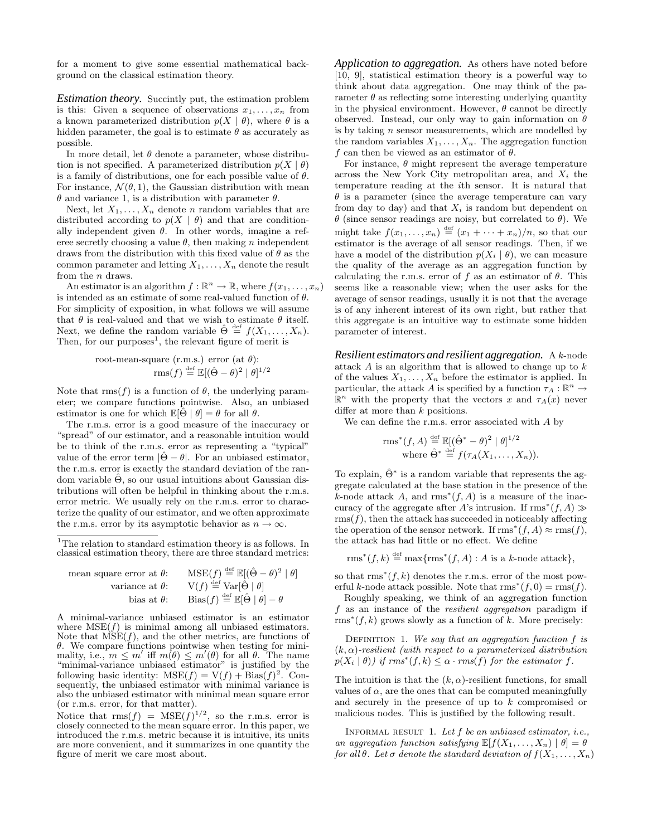for a moment to give some essential mathematical background on the classical estimation theory.

*Estimation theory.* Succintly put, the estimation problem is this: Given a sequence of observations  $x_1, \ldots, x_n$  from a known parameterized distribution  $p(X | \theta)$ , where  $\theta$  is a hidden parameter, the goal is to estimate  $\theta$  as accurately as possible.

In more detail, let  $\theta$  denote a parameter, whose distribution is not specified. A parameterized distribution  $p(X | \theta)$ is a family of distributions, one for each possible value of  $\theta$ . For instance,  $\mathcal{N}(\theta, 1)$ , the Gaussian distribution with mean θ and variance 1, is a distribution with parameter θ.

Next, let  $X_1, \ldots, X_n$  denote n random variables that are distributed according to  $p(X | \theta)$  and that are conditionally independent given  $\theta$ . In other words, imagine a referee secretly choosing a value  $\theta$ , then making *n* independent draws from the distribution with this fixed value of  $\theta$  as the common parameter and letting  $X_1, \ldots, X_n$  denote the result from the n draws.

An estimator is an algorithm  $f : \mathbb{R}^n \to \mathbb{R}$ , where  $f(x_1, \ldots, x_n)$ is intended as an estimate of some real-valued function of  $\theta$ . For simplicity of exposition, in what follows we will assume that  $\theta$  is real-valued and that we wish to estimate  $\theta$  itself. Next, we define the random variable  $\hat{\Theta} \stackrel{\text{def}}{=} f(X_1, \ldots, X_n)$ . Then, for our purposes<sup>1</sup>, the relevant figure of merit is

root-mean-square (r.m.s.) error (at 
$$
\theta
$$
):  
\n
$$
rms(f) \stackrel{\text{def}}{=} \mathbb{E}[(\hat{\Theta} - \theta)^2 | \theta]^{1/2}
$$

Note that  $\text{rms}(f)$  is a function of  $\theta$ , the underlying parameter; we compare functions pointwise. Also, an unbiased estimator is one for which  $\mathbb{E}[\Theta | \theta] = \theta$  for all  $\theta$ .

The r.m.s. error is a good measure of the inaccuracy or "spread" of our estimator, and a reasonable intuition would be to think of the r.m.s. error as representing a "typical" value of the error term  $|\hat{\Theta} - \theta|$ . For an unbiased estimator, the r.m.s. error is exactly the standard deviation of the random variable Θ, so our usual intuitions about Gaussian distributions will often be helpful in thinking about the r.m.s. error metric. We usually rely on the r.m.s. error to characterize the quality of our estimator, and we often approximate the r.m.s. error by its asymptotic behavior as  $n \to \infty$ .

mean square error at 
$$
\theta
$$
:  
\nvariance at  $\theta$ :  
\n
$$
V(f) \stackrel{\text{def}}{=} Var[\hat{\Theta} | \theta]
$$
\nbias at  $\theta$ :  
\n
$$
Bias(f) \stackrel{\text{def}}{=} E[\hat{\Theta} | \theta] - \theta
$$

A minimal-variance unbiased estimator is an estimator where  $MSE(f)$  is minimal among all unbiased estimators. Note that  $MSE(f)$ , and the other metrics, are functions of θ. We compare functions pointwise when testing for minimality, i.e.,  $m \leq m'$  iff  $m(\theta) \leq m'(\theta)$  for all  $\theta$ . The name "minimal-variance unbiased estimator" is justified by the following basic identity:  $MSE(f) = V(f) + Bias(f)^2$ . Consequently, the unbiased estimator with minimal variance is also the unbiased estimator with minimal mean square error (or r.m.s. error, for that matter).

Notice that  $\text{rms}(f) = \text{MSE}(f)^{1/2}$ , so the r.m.s. error is closely connected to the mean square error. In this paper, we introduced the r.m.s. metric because it is intuitive, its units are more convenient, and it summarizes in one quantity the figure of merit we care most about.

*Application to aggregation.* As others have noted before [10, 9], statistical estimation theory is a powerful way to think about data aggregation. One may think of the parameter  $\theta$  as reflecting some interesting underlying quantity in the physical environment. However,  $\theta$  cannot be directly observed. Instead, our only way to gain information on  $\theta$ is by taking  $n$  sensor measurements, which are modelled by the random variables  $X_1, \ldots, X_n$ . The aggregation function f can then be viewed as an estimator of  $\theta$ .

For instance,  $\theta$  might represent the average temperature across the New York City metropolitan area, and  $X_i$  the temperature reading at the ith sensor. It is natural that  $\theta$  is a parameter (since the average temperature can vary from day to day) and that  $X_i$  is random but dependent on θ (since sensor readings are noisy, but correlated to θ). We might take  $f(x_1, \ldots, x_n) \stackrel{\text{def}}{=} (x_1 + \cdots + x_n)/n$ , so that our estimator is the average of all sensor readings. Then, if we have a model of the distribution  $p(X_i | \theta)$ , we can measure the quality of the average as an aggregation function by calculating the r.m.s. error of f as an estimator of  $\theta$ . This seems like a reasonable view; when the user asks for the average of sensor readings, usually it is not that the average is of any inherent interest of its own right, but rather that this aggregate is an intuitive way to estimate some hidden parameter of interest.

*Resilient estimators and resilient aggregation.* A k-node attack  $A$  is an algorithm that is allowed to change up to  $k$ of the values  $X_1, \ldots, X_n$  before the estimator is applied. In particular, the attack A is specified by a function  $\tau_A : \mathbb{R}^n \to$  $\mathbb{R}^n$  with the property that the vectors x and  $\tau_A(x)$  never differ at more than  $k$  positions.

We can define the r.m.s. error associated with A by

$$
\text{rms}^*(f, A) \stackrel{\text{def}}{=} \mathbb{E}[(\hat{\Theta}^* - \theta)^2 | \theta]^{1/2}
$$
\n
$$
\text{where } \hat{\Theta}^* \stackrel{\text{def}}{=} f(\tau_A(X_1, \dots, X_n)).
$$

To explain,  $\hat{\Theta}^*$  is a random variable that represents the aggregate calculated at the base station in the presence of the k-node attack A, and  $\text{rms}^*(f, A)$  is a measure of the inaccuracy of the aggregate after A's intrusion. If  $\text{rms}^*(f, A) \gg$  $rms(f)$ , then the attack has succeeded in noticeably affecting the operation of the sensor network. If  $\text{rms}^*(f, A) \approx \text{rms}(f)$ , the attack has had little or no effect. We define

 $\text{rms}^*(f, k) \stackrel{\text{def}}{=} \text{max}\{\text{rms}^*(f, A) : A \text{ is a } k\text{-node attack}\},\$ 

so that  $\text{rms}^*(f, k)$  denotes the r.m.s. error of the most powerful k-node attack possible. Note that  $\text{rms}^*(f, 0) = \text{rms}(f)$ .

Roughly speaking, we think of an aggregation function f as an instance of the resilient aggregation paradigm if  $rms<sup>*</sup>(f, k)$  grows slowly as a function of k. More precisely:

DEFINITION 1. We say that an aggregation function  $f$  is  $(k, \alpha)$ -resilient (with respect to a parameterized distribution  $p(X_i | \theta)$ ) if  $rms^*(f, k) \leq \alpha \cdot rms(f)$  for the estimator f.

The intuition is that the  $(k, \alpha)$ -resilient functions, for small values of  $\alpha$ , are the ones that can be computed meaningfully and securely in the presence of up to k compromised or malicious nodes. This is justified by the following result.

INFORMAL RESULT 1. Let  $f$  be an unbiased estimator, i.e., an aggregation function satisfying  $\mathbb{E}[f(X_1, \ldots, X_n) | \theta] = \theta$ for all  $\theta$ . Let  $\sigma$  denote the standard deviation of  $f(X_1, \ldots, X_n)$ 

 $^{\rm 1}{\rm The}$  relation to standard estimation theory is as follows. In classical estimation theory, there are three standard metrics: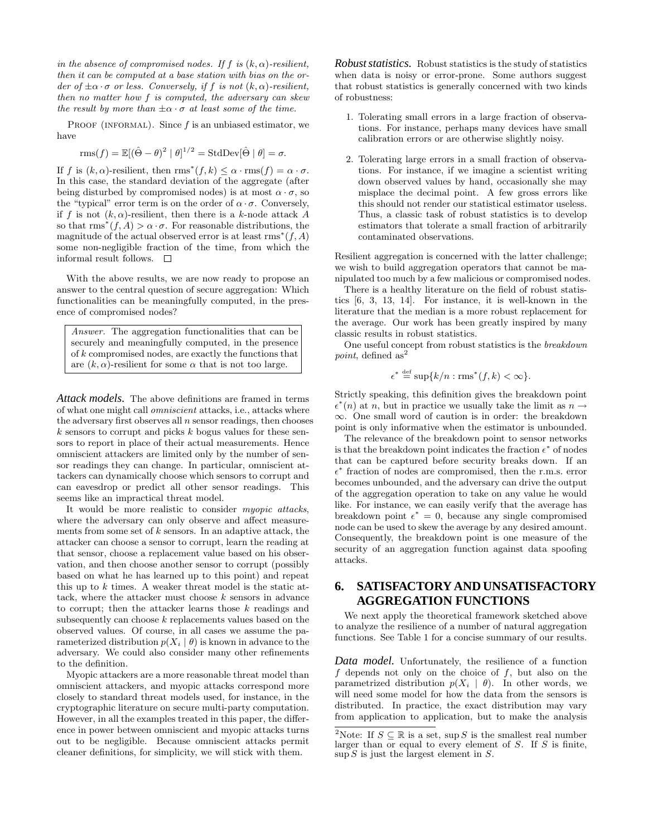in the absence of compromised nodes. If f is  $(k, \alpha)$ -resilient, then it can be computed at a base station with bias on the order of  $\pm \alpha \cdot \sigma$  or less. Conversely, if f is not  $(k, \alpha)$ -resilient, then no matter how f is computed, the adversary can skew the result by more than  $\pm \alpha \cdot \sigma$  at least some of the time.

PROOF (INFORMAL). Since  $f$  is an unbiased estimator, we have

$$
rms(f) = \mathbb{E}[(\hat{\Theta} - \theta)^2 | \theta]^{1/2} = \text{StdDev}[\hat{\Theta} | \theta] = \sigma.
$$

If f is  $(k, \alpha)$ -resilient, then  $\text{rms}^*(f, k) \leq \alpha \cdot \text{rms}(f) = \alpha \cdot \sigma$ . In this case, the standard deviation of the aggregate (after being disturbed by compromised nodes) is at most  $\alpha \cdot \sigma$ , so the "typical" error term is on the order of  $\alpha \cdot \sigma$ . Conversely, if f is not  $(k, \alpha)$ -resilient, then there is a k-node attack A so that  $\text{rms}^*(f, A) > \alpha \cdot \sigma$ . For reasonable distributions, the magnitude of the actual observed error is at least  $\text{rms}^*(f, A)$ some non-negligible fraction of the time, from which the informal result follows.  $\Box$ 

With the above results, we are now ready to propose an answer to the central question of secure aggregation: Which functionalities can be meaningfully computed, in the presence of compromised nodes?

Answer. The aggregation functionalities that can be securely and meaningfully computed, in the presence of k compromised nodes, are exactly the functions that are  $(k, \alpha)$ -resilient for some  $\alpha$  that is not too large.

*Attack models.* The above definitions are framed in terms of what one might call omniscient attacks, i.e., attacks where the adversary first observes all  $n$  sensor readings, then chooses k sensors to corrupt and picks k bogus values for these sensors to report in place of their actual measurements. Hence omniscient attackers are limited only by the number of sensor readings they can change. In particular, omniscient attackers can dynamically choose which sensors to corrupt and can eavesdrop or predict all other sensor readings. This seems like an impractical threat model.

It would be more realistic to consider myopic attacks, where the adversary can only observe and affect measurements from some set of  $k$  sensors. In an adaptive attack, the attacker can choose a sensor to corrupt, learn the reading at that sensor, choose a replacement value based on his observation, and then choose another sensor to corrupt (possibly based on what he has learned up to this point) and repeat this up to  $k$  times. A weaker threat model is the static attack, where the attacker must choose  $k$  sensors in advance to corrupt; then the attacker learns those  $k$  readings and subsequently can choose  $k$  replacements values based on the observed values. Of course, in all cases we assume the parameterized distribution  $p(X_i | \theta)$  is known in advance to the adversary. We could also consider many other refinements to the definition.

Myopic attackers are a more reasonable threat model than omniscient attackers, and myopic attacks correspond more closely to standard threat models used, for instance, in the cryptographic literature on secure multi-party computation. However, in all the examples treated in this paper, the difference in power between omniscient and myopic attacks turns out to be negligible. Because omniscient attacks permit cleaner definitions, for simplicity, we will stick with them.

*Robust statistics.* Robust statistics is the study of statistics when data is noisy or error-prone. Some authors suggest that robust statistics is generally concerned with two kinds of robustness:

- 1. Tolerating small errors in a large fraction of observations. For instance, perhaps many devices have small calibration errors or are otherwise slightly noisy.
- 2. Tolerating large errors in a small fraction of observations. For instance, if we imagine a scientist writing down observed values by hand, occasionally she may misplace the decimal point. A few gross errors like this should not render our statistical estimator useless. Thus, a classic task of robust statistics is to develop estimators that tolerate a small fraction of arbitrarily contaminated observations.

Resilient aggregation is concerned with the latter challenge; we wish to build aggregation operators that cannot be manipulated too much by a few malicious or compromised nodes.

There is a healthy literature on the field of robust statistics [6, 3, 13, 14]. For instance, it is well-known in the literature that the median is a more robust replacement for the average. Our work has been greatly inspired by many classic results in robust statistics.

One useful concept from robust statistics is the breakdown point, defined  $as^2$ 

$$
\epsilon^* \stackrel{\text{def}}{=} \sup\{k/n : \text{rms}^*(f, k) < \infty\}.
$$

Strictly speaking, this definition gives the breakdown point  $\epsilon^*(n)$  at n, but in practice we usually take the limit as  $n \to$ ∞. One small word of caution is in order: the breakdown point is only informative when the estimator is unbounded.

The relevance of the breakdown point to sensor networks is that the breakdown point indicates the fraction  $\epsilon^*$  of nodes that can be captured before security breaks down. If an  $\epsilon^*$  fraction of nodes are compromised, then the r.m.s. error becomes unbounded, and the adversary can drive the output of the aggregation operation to take on any value he would like. For instance, we can easily verify that the average has breakdown point  $\epsilon^* = 0$ , because any single compromised node can be used to skew the average by any desired amount. Consequently, the breakdown point is one measure of the security of an aggregation function against data spoofing attacks.

# **6. SATISFACTORY AND UNSATISFACTORY AGGREGATION FUNCTIONS**

We next apply the theoretical framework sketched above to analyze the resilience of a number of natural aggregation functions. See Table 1 for a concise summary of our results.

*Data model.* Unfortunately, the resilience of a function f depends not only on the choice of f, but also on the parametrized distribution  $p(X_i | \theta)$ . In other words, we will need some model for how the data from the sensors is distributed. In practice, the exact distribution may vary from application to application, but to make the analysis

<sup>&</sup>lt;sup>2</sup>Note: If  $S \subseteq \mathbb{R}$  is a set, sup S is the smallest real number larger than  $\overline{or}$  equal to every element of  $S$ . If  $S$  is finite,  $\sup S$  is just the largest element in S.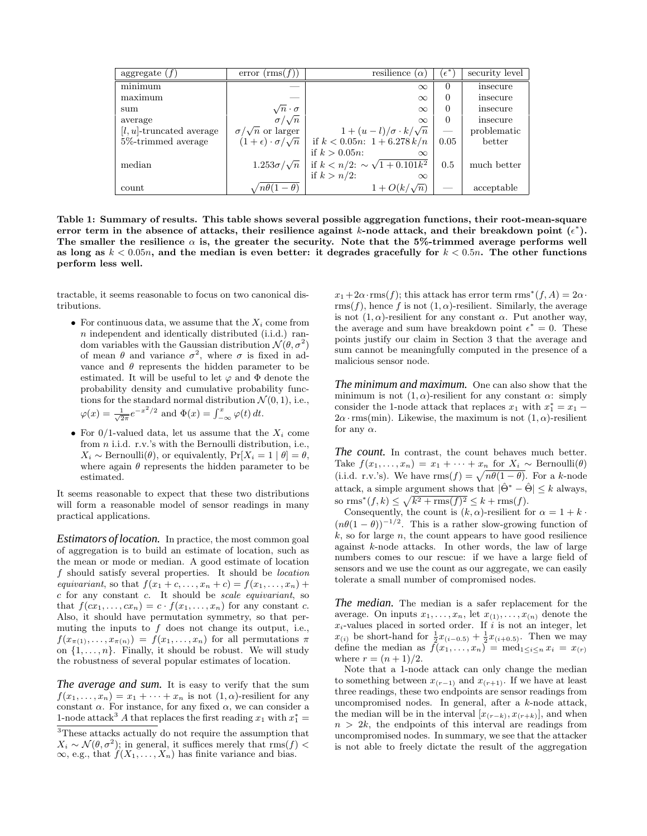| aggregate                   | rms(f)<br>error                        | resilience (<br>$\alpha$                                             | $\epsilon^*$   | security level |
|-----------------------------|----------------------------------------|----------------------------------------------------------------------|----------------|----------------|
| minimum                     |                                        | $\infty$                                                             | $\Omega$       | insecure       |
| maximum                     |                                        | $\infty$                                                             | 0              | insecure       |
| sum                         | $\sqrt{n} \cdot \sigma$                | $\infty$                                                             | 0              | insecure       |
| average                     | $\sigma/\sqrt{n}$                      | $\infty$                                                             | $\overline{0}$ | insecure       |
| $[l, u]$ -truncated average | $\sigma/\sqrt{n}$ or larger            | $1+(u-l)/\sigma\cdot k/\sqrt{n}$                                     |                | problematic    |
| $5\%$ -trimmed average      |                                        | $(1+\epsilon)\cdot \sigma/\sqrt{n}$ if $k < 0.05n$ : $1 + 6.278 k/n$ | 0.05           | better         |
|                             |                                        | if $k > 0.05n$ :<br>$\infty$                                         |                |                |
| median                      |                                        | $1.253\sigma/\sqrt{n}$ if $k < n/2$ : $\sim \sqrt{1 + 0.101k^2}$     | 0.5            | much better    |
|                             |                                        | if $k > n/2$ :<br>$\infty$                                           |                |                |
| count                       | $-\theta$ <sup>1</sup><br>$n\theta(1)$ | $1 + O(k/\sqrt{n})$                                                  |                | acceptable     |

Table 1: Summary of results. This table shows several possible aggregation functions, their root-mean-square error term in the absence of attacks, their resilience against k-node attack, and their breakdown point  $(\epsilon^*)$ . The smaller the resilience  $\alpha$  is, the greater the security. Note that the 5%-trimmed average performs well as long as  $k < 0.05n$ , and the median is even better: it degrades gracefully for  $k < 0.5n$ . The other functions perform less well.

tractable, it seems reasonable to focus on two canonical distributions.

- For continuous data, we assume that the  $X_i$  come from n independent and identically distributed (i.i.d.) random variables with the Gaussian distribution  $\mathcal{N}(\theta, \sigma^2)$ of mean  $\theta$  and variance  $\sigma^2$ , where  $\sigma$  is fixed in advance and  $\theta$  represents the hidden parameter to be estimated. It will be useful to let  $\varphi$  and  $\Phi$  denote the probability density and cumulative probability functions for the standard normal distribution  $\mathcal{N}(0, 1)$ , i.e.,  $\varphi(x) = \frac{1}{\sqrt{2\pi}} e^{-x^2/2}$  and  $\Phi(x) = \int_{-\infty}^x \varphi(t) dt$ .
- For  $0/1$ -valued data, let us assume that the  $X_i$  come from n i.i.d. r.v.'s with the Bernoulli distribution, i.e.,  $X_i \sim \text{Bernoulli}(\theta)$ , or equivalently,  $\Pr[X_i = 1 | \theta] = \theta$ , where again  $\theta$  represents the hidden parameter to be estimated.

It seems reasonable to expect that these two distributions will form a reasonable model of sensor readings in many practical applications.

*Estimators of location.* In practice, the most common goal of aggregation is to build an estimate of location, such as the mean or mode or median. A good estimate of location f should satisfy several properties. It should be location equivariant, so that  $f(x_1 + c, \ldots, x_n + c) = f(x_1, \ldots, x_n) + c$  $c$  for any constant  $c$ . It should be *scale equivariant*, so that  $f(cx_1, \ldots, cx_n) = c \cdot f(x_1, \ldots, x_n)$  for any constant c. Also, it should have permutation symmetry, so that permuting the inputs to  $f$  does not change its output, i.e.,  $f(x_{\pi(1)},\ldots,x_{\pi(n)}) = f(x_1,\ldots,x_n)$  for all permutations  $\pi$ on  $\{1, \ldots, n\}$ . Finally, it should be robust. We will study the robustness of several popular estimates of location.

*The average and sum.* It is easy to verify that the sum  $f(x_1, \ldots, x_n) = x_1 + \cdots + x_n$  is not  $(1, \alpha)$ -resilient for any constant  $\alpha$ . For instance, for any fixed  $\alpha$ , we can consider a 1-node attack<sup>3</sup> A that replaces the first reading  $x_1$  with  $x_1^* =$ 

 $x_1+2\alpha \cdot \text{rms}(f)$ ; this attack has error term  $\text{rms}^*(f, A) = 2\alpha \cdot$ rms(f), hence f is not  $(1, \alpha)$ -resilient. Similarly, the average is not  $(1, \alpha)$ -resilient for any constant  $\alpha$ . Put another way, the average and sum have breakdown point  $\epsilon^* = 0$ . These points justify our claim in Section 3 that the average and sum cannot be meaningfully computed in the presence of a malicious sensor node.

*The minimum and maximum.* One can also show that the minimum is not  $(1, \alpha)$ -resilient for any constant  $\alpha$ : simply consider the 1-node attack that replaces  $x_1$  with  $x_1^* = x_1 2\alpha \cdot rms(min)$ . Likewise, the maximum is not  $(1, \alpha)$ -resilient for any  $\alpha$ .

*The count.* In contrast, the count behaves much better. Take  $f(x_1, \ldots, x_n) = x_1 + \cdots + x_n$  for  $X_i \sim \text{Bernoulli}(\theta)$ (i.i.d. r.v.'s). We have  $\text{rms}(f) = \sqrt{n\theta(1-\theta)}$ . For a k-node attack, a simple argument shows that  $|\hat{\Theta}^* - \hat{\Theta}| \leq k$  always, so  $\text{rms}^*(f, k) \le \sqrt{k^2 + \text{rms}(f)^2} \le k + \text{rms}(f).$ 

Consequently, the count is  $(k, \alpha)$ -resilient for  $\alpha = 1 + k$ .  $(n\theta(1-\theta))^{-1/2}$ . This is a rather slow-growing function of  $k$ , so for large n, the count appears to have good resilience against k-node attacks. In other words, the law of large numbers comes to our rescue: if we have a large field of sensors and we use the count as our aggregate, we can easily tolerate a small number of compromised nodes.

*The median.* The median is a safer replacement for the average. On inputs  $x_1, \ldots, x_n$ , let  $x_{(1)}, \ldots, x_{(n)}$  denote the  $x_i$ -values placed in sorted order. If i is not an integer, let  $x_{(i)}$  be short-hand for  $\frac{1}{2}x_{(i-0.5)} + \frac{1}{2}x_{(i+0.5)}$ . Then we may define the median as  $f(x_1, \ldots, x_n) = \text{med}_{1 \leq i \leq n} x_i = x_{(r)}$ where  $r = (n + 1)/2$ .

Note that a 1-node attack can only change the median to something between  $x_{(r-1)}$  and  $x_{(r+1)}$ . If we have at least three readings, these two endpoints are sensor readings from uncompromised nodes. In general, after a k-node attack, the median will be in the interval  $[x_{(r-k)}, x_{(r+k)}],$  and when  $n > 2k$ , the endpoints of this interval are readings from uncompromised nodes. In summary, we see that the attacker is not able to freely dictate the result of the aggregation

<sup>3</sup>These attacks actually do not require the assumption that  $X_i \sim \mathcal{N}(\theta, \sigma^2)$ ; in general, it suffices merely that  $\text{rms}(f)$  <  $\infty$ , e.g., that  $f(X_1, \ldots, X_n)$  has finite variance and bias.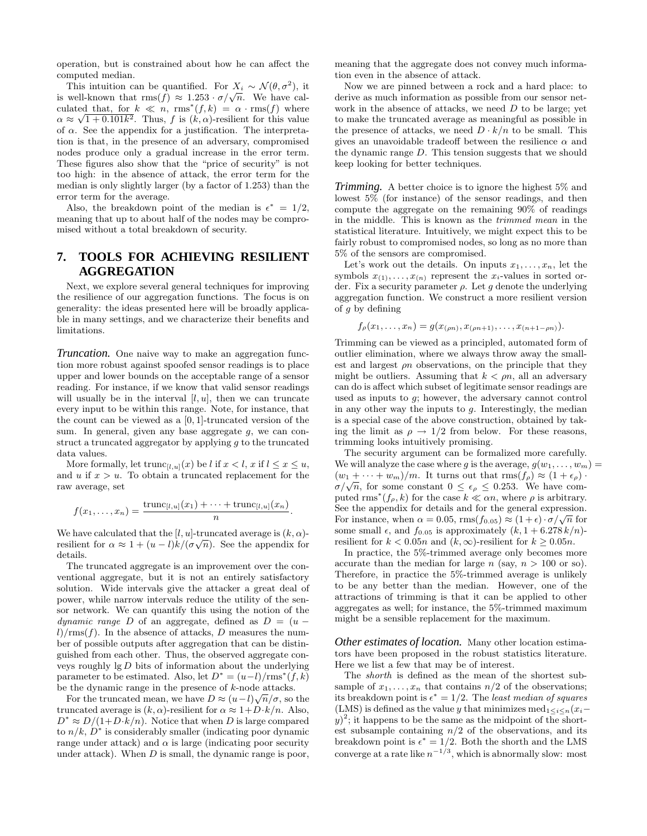operation, but is constrained about how he can affect the computed median.

This intuition can be quantified. For  $X_i \sim \mathcal{N}(\theta, \sigma^2)$ , it is well-known that  $\text{rms}(f) \approx 1.253 \cdot \sigma/\sqrt{n}$ . We have calculated that, for  $k \ll n$ ,  $\text{rms}^*(f, k) = \alpha \cdot \text{rms}(f)$  where  $\alpha \approx \sqrt{1 + 0.101k^2}$ . Thus, f is  $(k, \alpha)$ -resilient for this value of  $\alpha$ . See the appendix for a justification. The interpretation is that, in the presence of an adversary, compromised nodes produce only a gradual increase in the error term. These figures also show that the "price of security" is not too high: in the absence of attack, the error term for the median is only slightly larger (by a factor of 1.253) than the error term for the average.

Also, the breakdown point of the median is  $\epsilon^* = 1/2$ , meaning that up to about half of the nodes may be compromised without a total breakdown of security.

# **7. TOOLS FOR ACHIEVING RESILIENT AGGREGATION**

Next, we explore several general techniques for improving the resilience of our aggregation functions. The focus is on generality: the ideas presented here will be broadly applicable in many settings, and we characterize their benefits and limitations.

*Truncation.* One naive way to make an aggregation function more robust against spoofed sensor readings is to place upper and lower bounds on the acceptable range of a sensor reading. For instance, if we know that valid sensor readings will usually be in the interval  $[l, u]$ , then we can truncate every input to be within this range. Note, for instance, that the count can be viewed as a [0, 1]-truncated version of the sum. In general, given any base aggregate g, we can construct a truncated aggregator by applying  $q$  to the truncated data values.

More formally, let  ${\rm trunc}_{[l,u]}(x)$  be l if  $x < l$ , x if  $l \leq x \leq u$ , and  $u$  if  $x > u$ . To obtain a truncated replacement for the raw average, set

$$
f(x_1,\ldots,x_n)=\frac{\mathrm{trunc}_{[l,u]}(x_1)+\cdots+\mathrm{trunc}_{[l,u]}(x_n)}{n}
$$

.

We have calculated that the  $[l, u]$ -truncated average is  $(k, \alpha)$ resilient for  $\alpha \approx 1 + (u - l)k/(\sigma\sqrt{n})$ . See the appendix for details.

The truncated aggregate is an improvement over the conventional aggregate, but it is not an entirely satisfactory solution. Wide intervals give the attacker a great deal of power, while narrow intervals reduce the utility of the sensor network. We can quantify this using the notion of the dynamic range D of an aggregate, defined as  $D = (u$  $l$ /rms(f). In the absence of attacks, D measures the number of possible outputs after aggregation that can be distinguished from each other. Thus, the observed aggregate conveys roughly lg D bits of information about the underlying parameter to be estimated. Also, let  $D^* = (u-l)/\text{rms}^*(f, k)$ be the dynamic range in the presence of k-node attacks.

For the truncated mean, we have  $D \approx (u-l)\sqrt{n}/\sigma$ , so the truncated average is  $(k, \alpha)$ -resilient for  $\alpha \approx 1 + D \cdot k/n$ . Also,  $D^* \approx D/(1+D\cdot k/n)$ . Notice that when D is large compared to  $n/k$ ,  $D^*$  is considerably smaller (indicating poor dynamic range under attack) and  $\alpha$  is large (indicating poor security under attack). When  $D$  is small, the dynamic range is poor, meaning that the aggregate does not convey much information even in the absence of attack.

Now we are pinned between a rock and a hard place: to derive as much information as possible from our sensor network in the absence of attacks, we need  $D$  to be large; yet to make the truncated average as meaningful as possible in the presence of attacks, we need  $D \cdot k/n$  to be small. This gives an unavoidable tradeoff between the resilience  $\alpha$  and the dynamic range D. This tension suggests that we should keep looking for better techniques.

*Trimming.* A better choice is to ignore the highest 5% and lowest 5% (for instance) of the sensor readings, and then compute the aggregate on the remaining 90% of readings in the middle. This is known as the trimmed mean in the statistical literature. Intuitively, we might expect this to be fairly robust to compromised nodes, so long as no more than 5% of the sensors are compromised.

Let's work out the details. On inputs  $x_1, \ldots, x_n$ , let the symbols  $x_{(1)}, \ldots, x_{(n)}$  represent the  $x_i$ -values in sorted order. Fix a security parameter  $\rho$ . Let q denote the underlying aggregation function. We construct a more resilient version of  $g$  by defining

$$
f_{\rho}(x_1,\ldots,x_n)=g(x_{(\rho n)},x_{(\rho n+1)},\ldots,x_{(n+1-\rho n)}).
$$

Trimming can be viewed as a principled, automated form of outlier elimination, where we always throw away the smallest and largest  $\rho n$  observations, on the principle that they might be outliers. Assuming that  $k < \rho n$ , all an adversary can do is affect which subset of legitimate sensor readings are used as inputs to g; however, the adversary cannot control in any other way the inputs to  $q$ . Interestingly, the median is a special case of the above construction, obtained by taking the limit as  $\rho \rightarrow 1/2$  from below. For these reasons, trimming looks intuitively promising.

The security argument can be formalized more carefully. We will analyze the case where g is the average,  $g(w_1, \ldots, w_m)$  =  $(w_1 + \cdots + w_m)/m$ . It turns out that  $\text{rms}(f_\rho) \approx (1 + \epsilon_\rho)$ .  $\sigma/\sqrt{n}$ , for some constant  $0 \le \epsilon_{\rho} \le 0.253$ . We have computed  $\text{rms}^*(f_\rho, k)$  for the case  $k \ll \alpha n$ , where  $\rho$  is arbitrary. See the appendix for details and for the general expression. For instance, when  $\alpha = 0.05$ , rms $(f_{0.05}) \approx (1 + \epsilon) \cdot \sigma / \sqrt{n}$  for some small  $\epsilon$ , and  $f_{0.05}$  is approximately  $(k, 1 + 6.278 k/n)$ resilient for  $k < 0.05n$  and  $(k, \infty)$ -resilient for  $k \geq 0.05n$ .

In practice, the 5%-trimmed average only becomes more accurate than the median for large  $n$  (say,  $n > 100$  or so). Therefore, in practice the 5%-trimmed average is unlikely to be any better than the median. However, one of the attractions of trimming is that it can be applied to other aggregates as well; for instance, the 5%-trimmed maximum might be a sensible replacement for the maximum.

*Other estimates of location.* Many other location estimators have been proposed in the robust statistics literature. Here we list a few that may be of interest.

The shorth is defined as the mean of the shortest subsample of  $x_1, \ldots, x_n$  that contains  $n/2$  of the observations; its breakdown point is  $\epsilon^* = 1/2$ . The least median of squares (LMS) is defined as the value y that minimizes  $\text{med}_{1\leq i\leq n}(x_i-\)$  $(y)^2$ ; it happens to be the same as the midpoint of the shortest subsample containing  $n/2$  of the observations, and its breakdown point is  $\epsilon^* = 1/2$ . Both the shorth and the LMS converge at a rate like  $n^{-1/3}$ , which is abnormally slow: most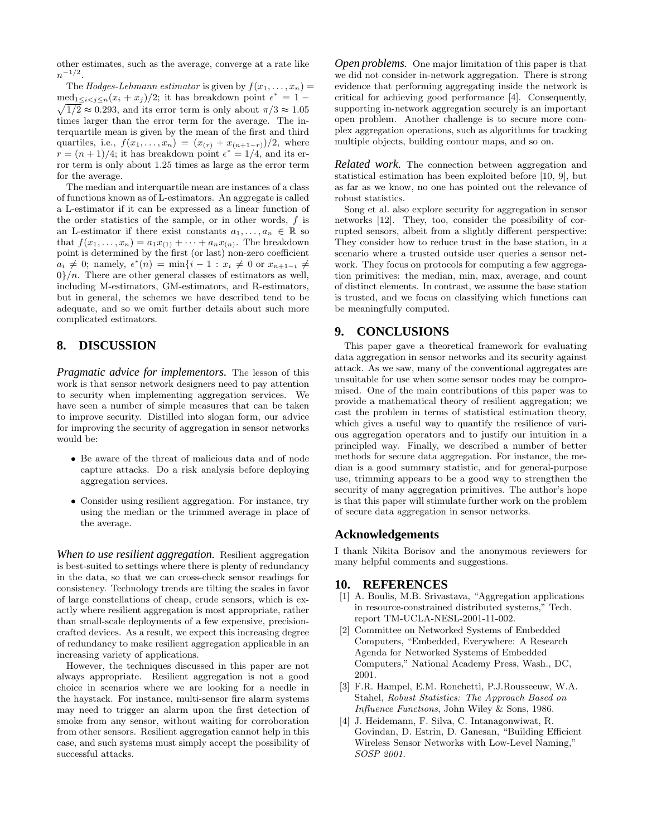other estimates, such as the average, converge at a rate like  $n^{-1/2}$ .

The Hodges-Lehmann estimator is given by  $f(x_1, \ldots, x_n) =$  $\text{med}_{1\leq i < j \leq n}(x_i + x_j)/2$ ; it has breakdown point  $\epsilon^*$  $\text{med}_{1 \leq i < j \leq n}(x_i + x_j)/2$ ; it has breakdown point  $\epsilon^* = 1 - \sqrt{1/2} \approx 0.293$ , and its error term is only about  $\pi/3 \approx 1.05$ times larger than the error term for the average. The interquartile mean is given by the mean of the first and third quartiles, i.e.,  $f(x_1,...,x_n) = (x_{(r)} + x_{(n+1-r)})/2$ , where  $r = (n+1)/4$ ; it has breakdown point  $\epsilon^* = 1/4$ , and its error term is only about 1.25 times as large as the error term for the average.

The median and interquartile mean are instances of a class of functions known as of L-estimators. An aggregate is called a L-estimator if it can be expressed as a linear function of the order statistics of the sample, or in other words,  $f$  is an L-estimator if there exist constants  $a_1, \ldots, a_n \in \mathbb{R}$  so that  $f(x_1,...,x_n) = a_1x_{(1)} + \cdots + a_nx_{(n)}$ . The breakdown point is determined by the first (or last) non-zero coefficient  $a_i \neq 0$ ; namely,  $\epsilon^*(n) = \min\{i-1 : x_i \neq 0 \text{ or } x_{n+1-i} \neq 0\}$  $0\}/n$ . There are other general classes of estimators as well, including M-estimators, GM-estimators, and R-estimators, but in general, the schemes we have described tend to be adequate, and so we omit further details about such more complicated estimators.

### **8. DISCUSSION**

*Pragmatic advice for implementors.* The lesson of this work is that sensor network designers need to pay attention to security when implementing aggregation services. We have seen a number of simple measures that can be taken to improve security. Distilled into slogan form, our advice for improving the security of aggregation in sensor networks would be:

- Be aware of the threat of malicious data and of node capture attacks. Do a risk analysis before deploying aggregation services.
- Consider using resilient aggregation. For instance, try using the median or the trimmed average in place of the average.

*When to use resilient aggregation.* Resilient aggregation is best-suited to settings where there is plenty of redundancy in the data, so that we can cross-check sensor readings for consistency. Technology trends are tilting the scales in favor of large constellations of cheap, crude sensors, which is exactly where resilient aggregation is most appropriate, rather than small-scale deployments of a few expensive, precisioncrafted devices. As a result, we expect this increasing degree of redundancy to make resilient aggregation applicable in an increasing variety of applications.

However, the techniques discussed in this paper are not always appropriate. Resilient aggregation is not a good choice in scenarios where we are looking for a needle in the haystack. For instance, multi-sensor fire alarm systems may need to trigger an alarm upon the first detection of smoke from any sensor, without waiting for corroboration from other sensors. Resilient aggregation cannot help in this case, and such systems must simply accept the possibility of successful attacks.

*Open problems.* One major limitation of this paper is that we did not consider in-network aggregation. There is strong evidence that performing aggregating inside the network is critical for achieving good performance [4]. Consequently, supporting in-network aggregation securely is an important open problem. Another challenge is to secure more complex aggregation operations, such as algorithms for tracking multiple objects, building contour maps, and so on.

*Related work.* The connection between aggregation and statistical estimation has been exploited before [10, 9], but as far as we know, no one has pointed out the relevance of robust statistics.

Song et al. also explore security for aggregation in sensor networks [12]. They, too, consider the possibility of corrupted sensors, albeit from a slightly different perspective: They consider how to reduce trust in the base station, in a scenario where a trusted outside user queries a sensor network. They focus on protocols for computing a few aggregation primitives: the median, min, max, average, and count of distinct elements. In contrast, we assume the base station is trusted, and we focus on classifying which functions can be meaningfully computed.

### **9. CONCLUSIONS**

This paper gave a theoretical framework for evaluating data aggregation in sensor networks and its security against attack. As we saw, many of the conventional aggregates are unsuitable for use when some sensor nodes may be compromised. One of the main contributions of this paper was to provide a mathematical theory of resilient aggregation; we cast the problem in terms of statistical estimation theory, which gives a useful way to quantify the resilience of various aggregation operators and to justify our intuition in a principled way. Finally, we described a number of better methods for secure data aggregation. For instance, the median is a good summary statistic, and for general-purpose use, trimming appears to be a good way to strengthen the security of many aggregation primitives. The author's hope is that this paper will stimulate further work on the problem of secure data aggregation in sensor networks.

### **Acknowledgements**

I thank Nikita Borisov and the anonymous reviewers for many helpful comments and suggestions.

### **10. REFERENCES**

- [1] A. Boulis, M.B. Srivastava, "Aggregation applications in resource-constrained distributed systems," Tech. report TM-UCLA-NESL-2001-11-002.
- [2] Committee on Networked Systems of Embedded Computers, "Embedded, Everywhere: A Research Agenda for Networked Systems of Embedded Computers," National Academy Press, Wash., DC, 2001.
- [3] F.R. Hampel, E.M. Ronchetti, P.J.Rousseeuw, W.A. Stahel, Robust Statistics: The Approach Based on Influence Functions, John Wiley & Sons, 1986.
- [4] J. Heidemann, F. Silva, C. Intanagonwiwat, R. Govindan, D. Estrin, D. Ganesan, "Building Efficient Wireless Sensor Networks with Low-Level Naming," SOSP 2001.